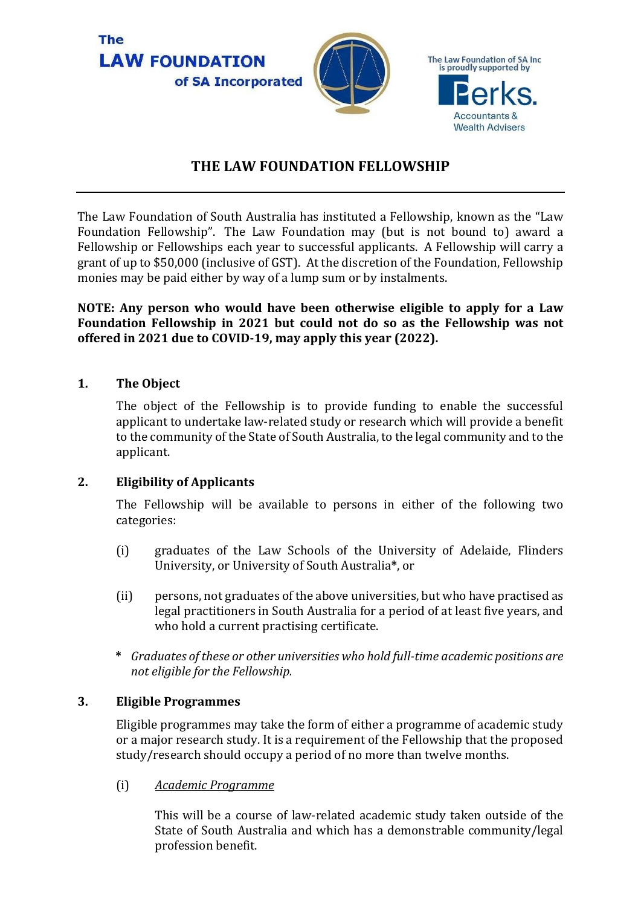

# **THE LAW FOUNDATION FELLOWSHIP**

The Law Foundation of South Australia has instituted a Fellowship, known as the "Law Foundation Fellowship". The Law Foundation may (but is not bound to) award a Fellowship or Fellowships each year to successful applicants. A Fellowship will carry a grant of up to \$50,000 (inclusive of GST). At the discretion of the Foundation, Fellowship monies may be paid either by way of a lump sum or by instalments.

**NOTE: Any person who would have been otherwise eligible to apply for a Law Foundation Fellowship in 2021 but could not do so as the Fellowship was not offered in 2021 due to COVID-19, may apply this year (2022).** 

## **1. The Object**

The object of the Fellowship is to provide funding to enable the successful applicant to undertake law-related study or research which will provide a benefit to the community of the State of South Australia, to the legal community and to the applicant.

## **2. Eligibility of Applicants**

The Fellowship will be available to persons in either of the following two categories:

- (i) graduates of the Law Schools of the University of Adelaide, Flinders University, or University of South Australia**\***, or
- (ii) persons, not graduates of the above universities, but who have practised as legal practitioners in South Australia for a period of at least five years, and who hold a current practising certificate.
- **\*** *Graduates of these or other universities who hold full-time academic positions are not eligible for the Fellowship.*

## **3. Eligible Programmes**

Eligible programmes may take the form of either a programme of academic study or a major research study. It is a requirement of the Fellowship that the proposed study/research should occupy a period of no more than twelve months.

(i) *Academic Programme* 

This will be a course of law-related academic study taken outside of the State of South Australia and which has a demonstrable community/legal profession benefit.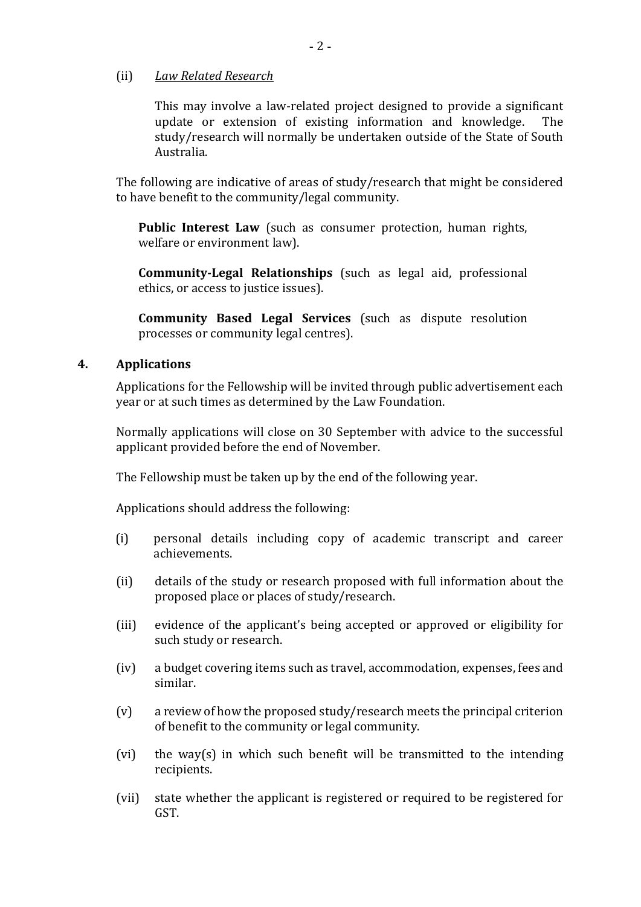#### (ii) *Law Related Research*

This may involve a law-related project designed to provide a significant update or extension of existing information and knowledge. The study/research will normally be undertaken outside of the State of South Australia.

The following are indicative of areas of study/research that might be considered to have benefit to the community/legal community.

**Public Interest Law** (such as consumer protection, human rights, welfare or environment law).

**Community-Legal Relationships** (such as legal aid, professional ethics, or access to justice issues).

**Community Based Legal Services** (such as dispute resolution processes or community legal centres).

### **4. Applications**

Applications for the Fellowship will be invited through public advertisement each year or at such times as determined by the Law Foundation.

Normally applications will close on 30 September with advice to the successful applicant provided before the end of November.

The Fellowship must be taken up by the end of the following year.

Applications should address the following:

- (i) personal details including copy of academic transcript and career achievements.
- (ii) details of the study or research proposed with full information about the proposed place or places of study/research.
- (iii) evidence of the applicant's being accepted or approved or eligibility for such study or research.
- (iv) a budget covering items such as travel, accommodation, expenses, fees and similar.
- (v) a review of how the proposed study/research meets the principal criterion of benefit to the community or legal community.
- (vi) the way(s) in which such benefit will be transmitted to the intending recipients.
- (vii) state whether the applicant is registered or required to be registered for GST.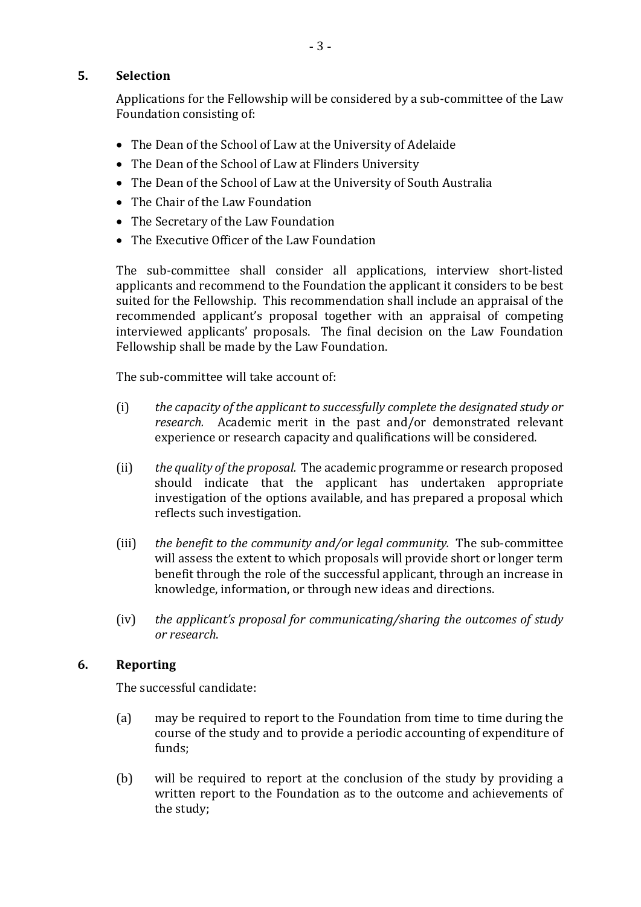## **5. Selection**

Applications for the Fellowship will be considered by a sub-committee of the Law Foundation consisting of:

- The Dean of the School of Law at the University of Adelaide
- The Dean of the School of Law at Flinders University
- The Dean of the School of Law at the University of South Australia
- The Chair of the Law Foundation
- The Secretary of the Law Foundation
- The Executive Officer of the Law Foundation

The sub-committee shall consider all applications, interview short-listed applicants and recommend to the Foundation the applicant it considers to be best suited for the Fellowship. This recommendation shall include an appraisal of the recommended applicant's proposal together with an appraisal of competing interviewed applicants' proposals. The final decision on the Law Foundation Fellowship shall be made by the Law Foundation.

The sub-committee will take account of:

- (i) *the capacity of the applicant to successfully complete the designated study or research.* Academic merit in the past and/or demonstrated relevant experience or research capacity and qualifications will be considered.
- (ii) *the quality of the proposal.* The academic programme or research proposed should indicate that the applicant has undertaken appropriate investigation of the options available, and has prepared a proposal which reflects such investigation.
- (iii) *the benefit to the community and/or legal community.* The sub-committee will assess the extent to which proposals will provide short or longer term benefit through the role of the successful applicant, through an increase in knowledge, information, or through new ideas and directions.
- (iv) *the applicant's proposal for communicating/sharing the outcomes of study or research*.

## **6. Reporting**

The successful candidate:

- (a) may be required to report to the Foundation from time to time during the course of the study and to provide a periodic accounting of expenditure of funds;
- (b) will be required to report at the conclusion of the study by providing a written report to the Foundation as to the outcome and achievements of the study;